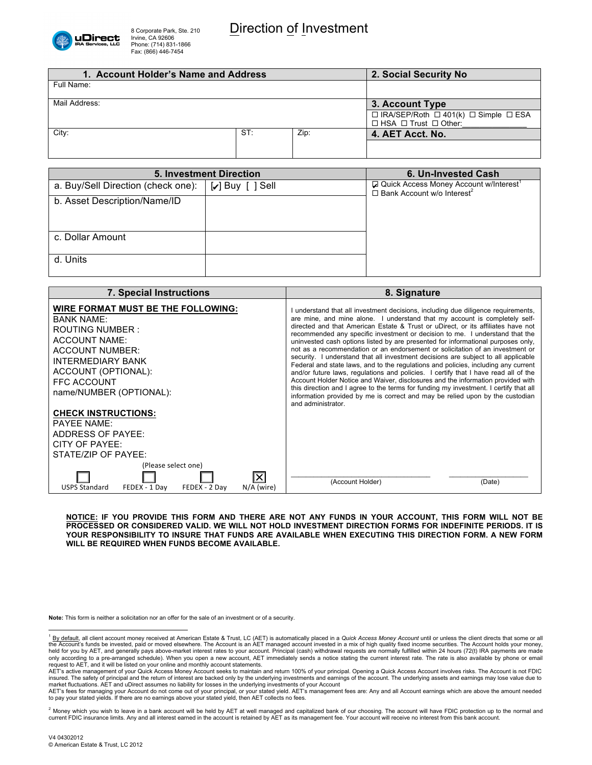

| 1. Account Holder's Name and Address |     |                 | 2. Social Security No.                                                                              |
|--------------------------------------|-----|-----------------|-----------------------------------------------------------------------------------------------------|
| Full Name:                           |     |                 |                                                                                                     |
| Mail Address:                        |     | 3. Account Type |                                                                                                     |
|                                      |     |                 | $\Box$ IRA/SEP/Roth $\Box$ 401(k) $\Box$ Simple $\Box$ ESA<br>$\Box$ HSA $\Box$ Trust $\Box$ Other: |
| City:                                | ST: | Zip:            | 4. AET Acct. No.                                                                                    |
|                                      |     |                 |                                                                                                     |

| <b>5. Investment Direction</b>     |                        | 6. Un-Invested Cash                                                                                   |
|------------------------------------|------------------------|-------------------------------------------------------------------------------------------------------|
| a. Buy/Sell Direction (check one): | $\bigcup$ Buy [ ] Sell | Q Quick Access Money Account w/Interest <sup>1</sup><br>$\Box$ Bank Account w/o Interest <sup>2</sup> |
| b. Asset Description/Name/ID       |                        |                                                                                                       |
|                                    |                        |                                                                                                       |
|                                    |                        |                                                                                                       |
| c. Dollar Amount                   |                        |                                                                                                       |
|                                    |                        |                                                                                                       |
| d. Units                           |                        |                                                                                                       |
|                                    |                        |                                                                                                       |

| <b>7. Special Instructions</b>                                                                                                                                                                                                           | 8. Signature                                                                                                                                                                                                                                                                                                                                                                                                                                                                                                                                                                                                                                                                                                                                                                                                                                                                                                                                                                                                                                                   |
|------------------------------------------------------------------------------------------------------------------------------------------------------------------------------------------------------------------------------------------|----------------------------------------------------------------------------------------------------------------------------------------------------------------------------------------------------------------------------------------------------------------------------------------------------------------------------------------------------------------------------------------------------------------------------------------------------------------------------------------------------------------------------------------------------------------------------------------------------------------------------------------------------------------------------------------------------------------------------------------------------------------------------------------------------------------------------------------------------------------------------------------------------------------------------------------------------------------------------------------------------------------------------------------------------------------|
| WIRE FORMAT MUST BE THE FOLLOWING:<br><b>BANK NAME:</b><br>ROUTING NUMBER:<br><b>ACCOUNT NAME:</b><br><b>ACCOUNT NUMBER:</b><br><b>INTERMEDIARY BANK</b><br>ACCOUNT (OPTIONAL):<br><b>FFC ACCOUNT</b><br>name/NUMBER (OPTIONAL):         | I understand that all investment decisions, including due diligence requirements,<br>are mine, and mine alone. I understand that my account is completely self-<br>directed and that American Estate & Trust or uDirect, or its affiliates have not<br>recommended any specific investment or decision to me. I understand that the<br>uninvested cash options listed by are presented for informational purposes only,<br>not as a recommendation or an endorsement or solicitation of an investment or<br>security. I understand that all investment decisions are subject to all applicable<br>Federal and state laws, and to the regulations and policies, including any current<br>and/or future laws, regulations and policies. I certify that I have read all of the<br>Account Holder Notice and Waiver, disclosures and the information provided with<br>this direction and I agree to the terms for funding my investment. I certify that all<br>information provided by me is correct and may be relied upon by the custodian<br>and administrator. |
| <b>CHECK INSTRUCTIONS:</b><br><b>PAYEE NAME:</b><br>ADDRESS OF PAYEE:<br>CITY OF PAYEE:<br>STATE/ZIP OF PAYEE:<br>(Please select one)<br>$\overline{\mathsf{x}}$<br><b>USPS Standard</b><br>FEDEX - 1 Day<br>FEDEX - 2 Day<br>N/A (wire) | (Account Holder)<br>(Date)                                                                                                                                                                                                                                                                                                                                                                                                                                                                                                                                                                                                                                                                                                                                                                                                                                                                                                                                                                                                                                     |

**NOTICE: IF YOU PROVIDE THIS FORM AND THERE ARE NOT ANY FUNDS IN YOUR ACCOUNT, THIS FORM WILL NOT BE PROCESSED OR CONSIDERED VALID. WE WILL NOT HOLD INVESTMENT DIRECTION FORMS FOR INDEFINITE PERIODS. IT IS YOUR RESPONSIBILITY TO INSURE THAT FUNDS ARE AVAILABLE WHEN EXECUTING THIS DIRECTION FORM. A NEW FORM WILL BE REQUIRED WHEN FUNDS BECOME AVAILABLE.**

**Note:** This form is neither a solicitation nor an offer for the sale of an investment or of a security.

<sup>&</sup>lt;sup>1</sup> By default, all client account money received at American Estate & Trust, LC (AET) is automatically placed in a Quick Access Money Account until or unless the client directs that some or all<br>the Account's funds be inve held for you by AET, and generally pays above-market interest rates to your account. Principal (cash) withdrawal requests are normally fulfilled within 24 hours (72(t) IRA payments are made<br>only according to a pre-arranged

request to AET, and it will be listed on your online and monthly account statements.<br>AET's active management of your Quick Access Money Account seeks to maintain and return 100% of your principal. Opening a Quick Access Ac insured. The safety of principal and the return of interest are backed only by the underlying investments and earnings of the account. The underlying assets and earnings may lose value due to

market fluctuations. AET and uDirect assumes no liability for losses in the underlying investments of your Account<br>AET's fees for managing your Account do not come out of your principal, or your stated yield. AET's managem

<sup>&</sup>lt;sup>2</sup> Money which you wish to leave in a bank account will be held by AET at well managed and capitalized bank of our choosing. The account will have FDIC protection up to the normal and<br>current FDIC insurance limits. Any an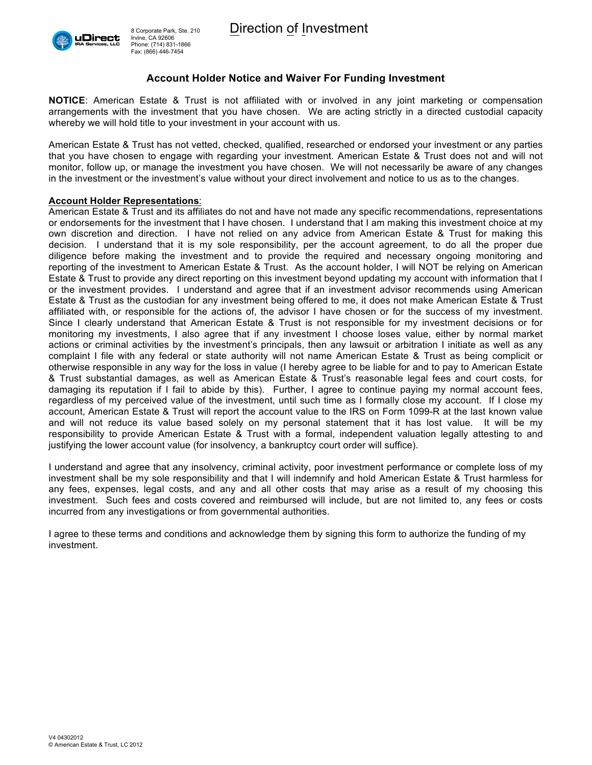

## **Account Holder Notice and Waiver For Funding Investment**

**NOTICE**: American Estate & Trust is not affiliated with or involved in any joint marketing or compensation arrangements with the investment that you have chosen. We are acting strictly in a directed custodial capacity whereby we will hold title to your investment in your account with us.

American Estate & Trust has not vetted, checked, qualified, researched or endorsed your investment or any parties that you have chosen to engage with regarding your investment. American Estate & Trust does not and will not monitor, follow up, or manage the investment you have chosen. We will not necessarily be aware of any changes in the investment or the investment's value without your direct involvement and notice to us as to the changes.

### **Account Holder Representations**:

American Estate & Trust and its affiliates do not and have not made any specific recommendations, representations or endorsements for the investment that I have chosen. I understand that I am making this investment choice at my own discretion and direction. I have not relied on any advice from American Estate & Trust for making this decision. I understand that it is my sole responsibility, per the account agreement, to do all the proper due diligence before making the investment and to provide the required and necessary ongoing monitoring and reporting of the investment to American Estate & Trust. As the account holder, I will NOT be relying on American Estate & Trust to provide any direct reporting on this investment beyond updating my account with information that I or the investment provides. I understand and agree that if an investment advisor recommends using American Estate & Trust as the custodian for any investment being offered to me, it does not make American Estate & Trust affiliated with, or responsible for the actions of, the advisor I have chosen or for the success of my investment. Since I clearly understand that American Estate & Trust is not responsible for my investment decisions or for monitoring my investments, I also agree that if any investment I choose loses value, either by normal market actions or criminal activities by the investment's principals, then any lawsuit or arbitration I initiate as well as any complaint I file with any federal or state authority will not name American Estate & Trust as being complicit or otherwise responsible in any way for the loss in value (I hereby agree to be liable for and to pay to American Estate & Trust substantial damages, as well as American Estate & Trust's reasonable legal fees and court costs, for damaging its reputation if I fail to abide by this). Further, I agree to continue paying my normal account fees, regardless of my perceived value of the investment, until such time as I formally close my account. If I close my account, American Estate & Trust will report the account value to the IRS on Form 1099-R at the last known value and will not reduce its value based solely on my personal statement that it has lost value. It will be my responsibility to provide American Estate & Trust with a formal, independent valuation legally attesting to and justifying the lower account value (for insolvency, a bankruptcy court order will suffice).

I understand and agree that any insolvency, criminal activity, poor investment performance or complete loss of my investment shall be my sole responsibility and that I will indemnify and hold American Estate & Trust harmless for any fees, expenses, legal costs, and any and all other costs that may arise as a result of my choosing this investment. Such fees and costs covered and reimbursed will include, but are not limited to, any fees or costs incurred from any investigations or from governmental authorities.

I agree to these terms and conditions and acknowledge them by signing this form to authorize the funding of my investment.